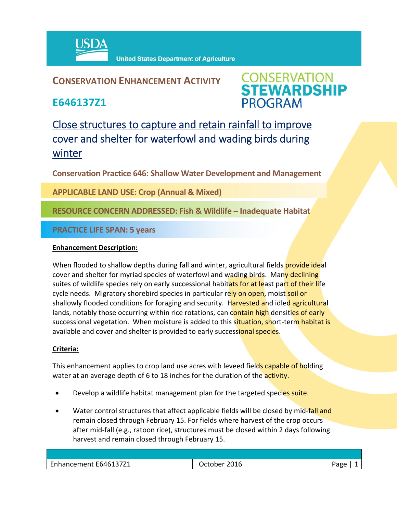

**United States Department of Agriculture** 

## **CONSERVATION ENHANCEMENT ACTIVITY**

**E646137Z1**



# Close structures to capture and retain rainfall to improve cover and shelter for waterfowl and wading birds during winter

**Conservation Practice 646: Shallow Water Development and Management**

**APPLICABLE LAND USE: Crop (Annual & Mixed)**

### **RESOURCE CONCERN ADDRESSED: Fish & Wildlife – Inadequate Habitat**

**PRACTICE LIFE SPAN: 5 years**

#### **Enhancement Description:**

When flooded to shallow depths during fall and winter, agricultural fields **provide ideal** cover and shelter for myriad species of waterfowl and wading birds. Many declining suites of wildlife species rely on early successional habitats for at least part of their life cycle needs. Migratory shorebird species in particular rely on open, moist soil or shallowly flooded conditions for foraging and security. Harvested and idled agricultural lands, notably those occurring within rice rotations, can contain high densities of early successional vegetation. When moisture is added to this situation, short-term habitat is available and cover and shelter is provided to early successional species.

#### **Criteria:**

This enhancement applies to crop land use acres with leveed fields capable of holding water at an average depth of 6 to 18 inches for the duration of the activity.

- Develop a wildlife habitat management plan for the targeted species suite.
- Water control structures that affect applicable fields will be closed by mid-fall and remain closed through February 15. For fields where harvest of the crop occurs after mid‐fall (e.g., ratoon rice), structures must be closed within 2 days following harvest and remain closed through February 15.

| Enhancement E646137Z1 | 2016<br>)ctober | - הסבי |
|-----------------------|-----------------|--------|
|                       |                 |        |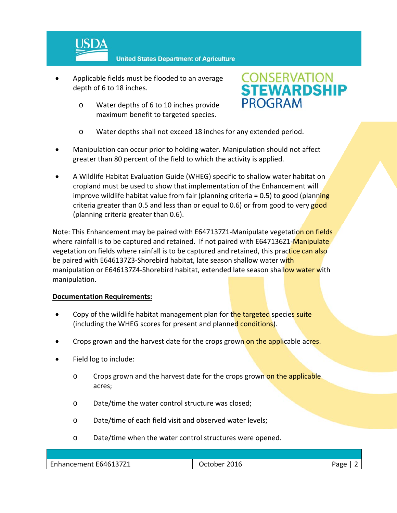

**United States Department of Agriculture** 

- Applicable fields must be flooded to an average depth of 6 to 18 inches.
	- o Water depths of 6 to 10 inches provide maximum benefit to targeted species.



- o Water depths shall not exceed 18 inches for any extended period.
- Manipulation can occur prior to holding water. Manipulation should not affect greater than 80 percent of the field to which the activity is applied.
- A Wildlife Habitat Evaluation Guide (WHEG) specific to shallow water habitat on cropland must be used to show that implementation of the Enhancement will improve wildlife habitat value from fair (planning criteria  $= 0.5$ ) to good (planning criteria greater than 0.5 and less than or equal to 0.6) or from good to very good (planning criteria greater than 0.6).

Note: This Enhancement may be paired with E647137Z1-Manipulate vegetation on fields where rainfall is to be captured and retained. If not paired with E647136Z1-Manipulate vegetation on fields where rainfall is to be captured and retained, this practice can also be paired with E646137Z3-Shorebird habitat, late season shallow water with manipulation or E646137Z4-Shorebird habitat, extended late season shallow water with manipulation.

#### **Documentation Requirements:**

- Copy of the wildlife habitat management plan for the targeted species suite (including the WHEG scores for present and planned conditions).
- Crops grown and the harvest date for the crops grown on the applicable acres.
- Field log to include:
	- o Crops grown and the harvest date for the crops grown on the applicable acres;
	- o Date/time the water control structure was closed;
	- o Date/time of each field visit and observed water levels;
	- o Date/time when the water control structures were opened.

| Enhancement E646137Z1 | 2016<br><b>October</b> | Pago |
|-----------------------|------------------------|------|